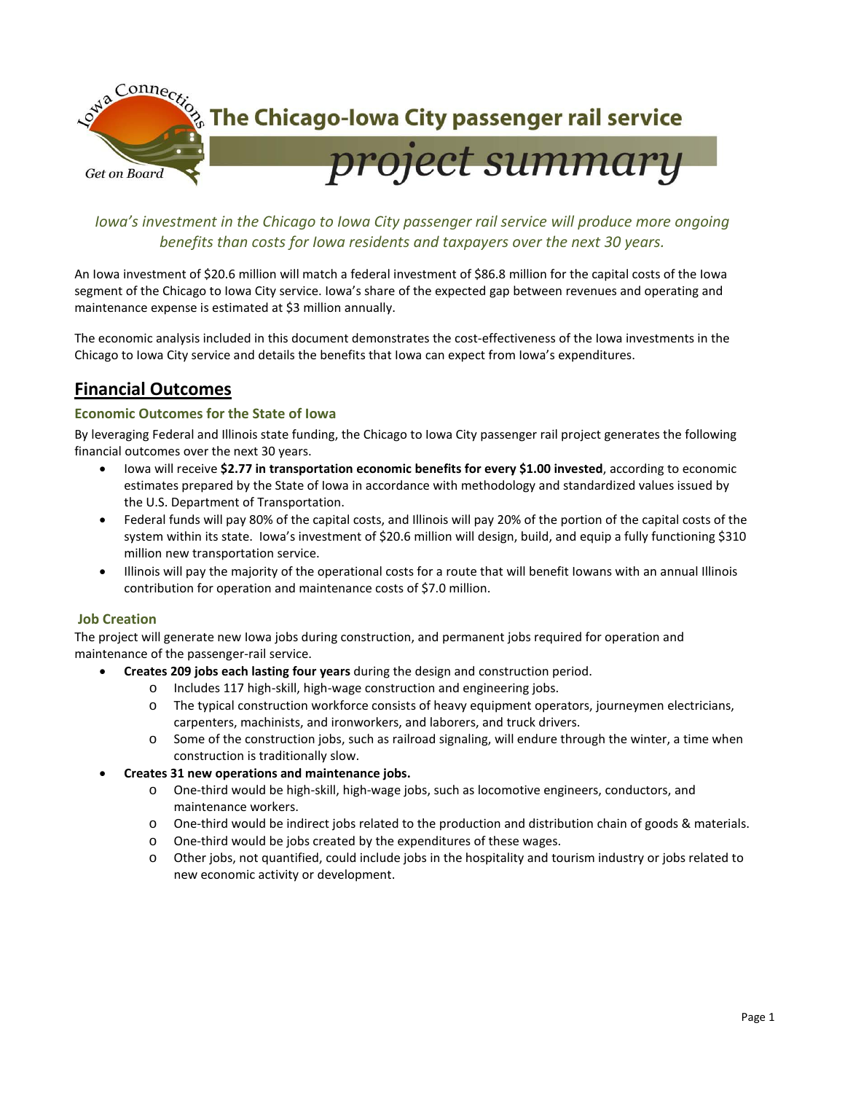

# *Iowa's investment in the Chicago to Iowa City passenger rail service will produce more ongoing benefits than costs for Iowa residents and taxpayers over the next 30 years.*

An Iowa investment of \$20.6 million will match a federal investment of \$86.8 million for the capital costs of the Iowa segment of the Chicago to Iowa City service. Iowa's share of the expected gap between revenues and operating and maintenance expense is estimated at \$3 million annually.

The economic analysis included in this document demonstrates the cost-effectiveness of the Iowa investments in the Chicago to Iowa City service and details the benefits that Iowa can expect from Iowa's expenditures.

# **Financial Outcomes**

## **Economic Outcomes for the State of Iowa**

By leveraging Federal and Illinois state funding, the Chicago to Iowa City passenger rail project generates the following financial outcomes over the next 30 years.

- Iowa will receive **\$2.77 in transportation economic benefits for every \$1.00 invested**, according to economic estimates prepared by the State of Iowa in accordance with methodology and standardized values issued by the U.S. Department of Transportation.
- Federal funds will pay 80% of the capital costs, and Illinois will pay 20% of the portion of the capital costs of the system within its state. Iowa's investment of \$20.6 million will design, build, and equip a fully functioning \$310 million new transportation service.
- Illinois will pay the majority of the operational costs for a route that will benefit Iowans with an annual Illinois contribution for operation and maintenance costs of \$7.0 million.

### **Job Creation**

The project will generate new Iowa jobs during construction, and permanent jobs required for operation and maintenance of the passenger-rail service.

- **Creates 209 jobs each lasting four years** during the design and construction period.
	- o Includes 117 high-skill, high-wage construction and engineering jobs.
	- o The typical construction workforce consists of heavy equipment operators, journeymen electricians, carpenters, machinists, and ironworkers, and laborers, and truck drivers.
	- o Some of the construction jobs, such as railroad signaling, will endure through the winter, a time when construction is traditionally slow.
- **Creates 31 new operations and maintenance jobs.** 
	- o One-third would be high-skill, high-wage jobs, such as locomotive engineers, conductors, and maintenance workers.
	- o One-third would be indirect jobs related to the production and distribution chain of goods & materials.
	- o One-third would be jobs created by the expenditures of these wages.
	- o Other jobs, not quantified, could include jobs in the hospitality and tourism industry or jobs related to new economic activity or development.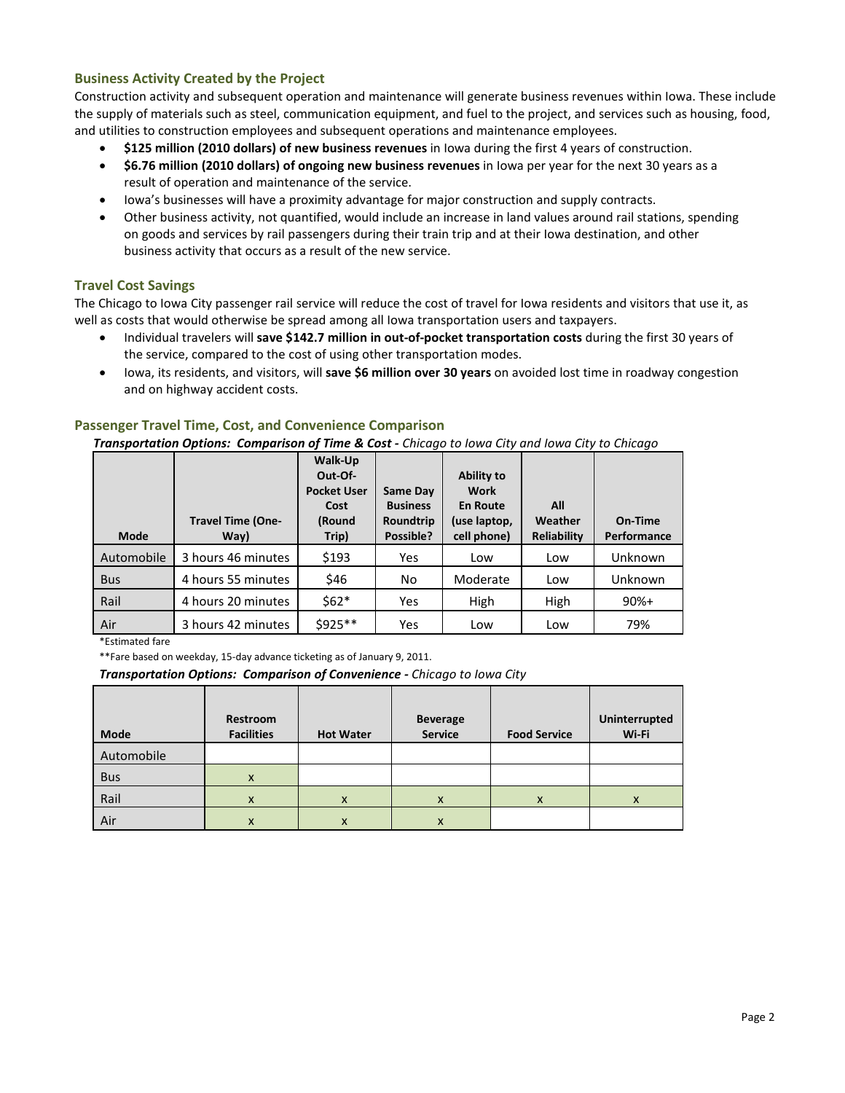## **Business Activity Created by the Project**

Construction activity and subsequent operation and maintenance will generate business revenues within Iowa. These include the supply of materials such as steel, communication equipment, and fuel to the project, and services such as housing, food, and utilities to construction employees and subsequent operations and maintenance employees.

- **\$125 million (2010 dollars) of new business revenues** in Iowa during the first 4 years of construction.
- **\$6.76 million (2010 dollars) of ongoing new business revenues** in Iowa per year for the next 30 years as a result of operation and maintenance of the service.
- Iowa's businesses will have a proximity advantage for major construction and supply contracts.
- Other business activity, not quantified, would include an increase in land values around rail stations, spending on goods and services by rail passengers during their train trip and at their Iowa destination, and other business activity that occurs as a result of the new service.

### **Travel Cost Savings**

The Chicago to Iowa City passenger rail service will reduce the cost of travel for Iowa residents and visitors that use it, as well as costs that would otherwise be spread among all Iowa transportation users and taxpayers.

- Individual travelers will **save \$142.7 million in out-of-pocket transportation costs** during the first 30 years of the service, compared to the cost of using other transportation modes.
- Iowa, its residents, and visitors, will **save \$6 million over 30 years** on avoided lost time in roadway congestion and on highway accident costs.

### **Passenger Travel Time, Cost, and Convenience Comparison**

*Transportation Options: Comparison of Time & Cost - Chicago to Iowa City and Iowa City to Chicago*

| <b>Mode</b> | <b>Travel Time (One-</b><br>Way) | Walk-Up<br>Out-Of-<br><b>Pocket User</b><br>Cost<br>(Round<br>Trip) | Same Day<br><b>Business</b><br>Roundtrip<br>Possible? | <b>Ability to</b><br>Work<br><b>En Route</b><br>(use laptop,<br>cell phone) | All<br>Weather<br><b>Reliability</b> | On-Time<br>Performance |
|-------------|----------------------------------|---------------------------------------------------------------------|-------------------------------------------------------|-----------------------------------------------------------------------------|--------------------------------------|------------------------|
| Automobile  | 3 hours 46 minutes               | \$193                                                               | Yes                                                   | Low                                                                         | Low                                  | Unknown                |
| <b>Bus</b>  | 4 hours 55 minutes               | \$46                                                                | No                                                    | Moderate                                                                    | Low                                  | Unknown                |
| Rail        | 4 hours 20 minutes               | $$62*$                                                              | Yes                                                   | High                                                                        | High                                 | $90%+$                 |
| Air         | 3 hours 42 minutes               | \$925**                                                             | Yes                                                   | Low                                                                         | Low                                  | 79%                    |

\*Estimated fare

\*\*Fare based on weekday, 15-day advance ticketing as of January 9, 2011.

*Transportation Options: Comparison of Convenience - Chicago to Iowa City*

| <b>Mode</b> | Restroom<br><b>Facilities</b> | <b>Hot Water</b> | <b>Beverage</b><br><b>Service</b> | <b>Food Service</b> | Uninterrupted<br>Wi-Fi |
|-------------|-------------------------------|------------------|-----------------------------------|---------------------|------------------------|
| Automobile  |                               |                  |                                   |                     |                        |
| <b>Bus</b>  | X                             |                  |                                   |                     |                        |
| Rail        | X                             | X                | X                                 | $\mathsf{x}$        | $\mathsf{x}$           |
| Air         | X                             | x                | X                                 |                     |                        |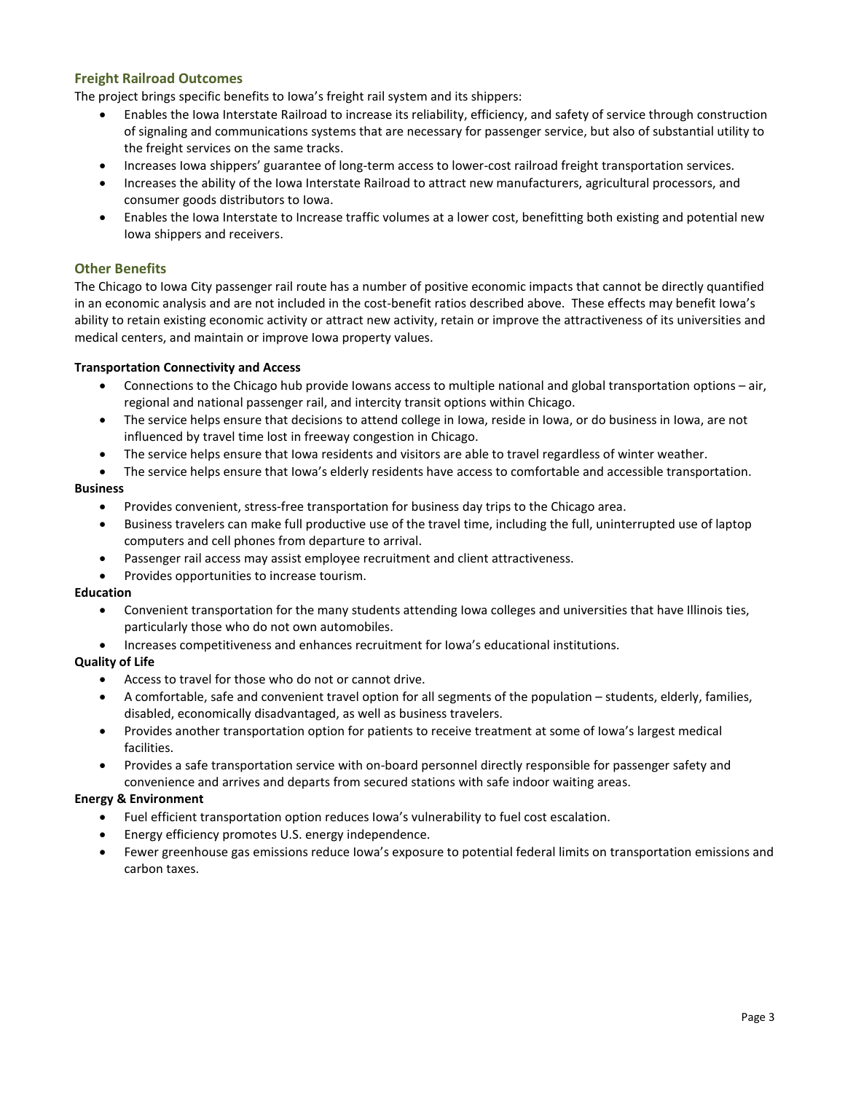## **Freight Railroad Outcomes**

The project brings specific benefits to Iowa's freight rail system and its shippers:

- Enables the Iowa Interstate Railroad to increase its reliability, efficiency, and safety of service through construction of signaling and communications systems that are necessary for passenger service, but also of substantial utility to the freight services on the same tracks.
- Increases Iowa shippers' guarantee of long-term access to lower-cost railroad freight transportation services.
- Increases the ability of the Iowa Interstate Railroad to attract new manufacturers, agricultural processors, and consumer goods distributors to Iowa.
- Enables the Iowa Interstate to Increase traffic volumes at a lower cost, benefitting both existing and potential new Iowa shippers and receivers.

### **Other Benefits**

The Chicago to Iowa City passenger rail route has a number of positive economic impacts that cannot be directly quantified in an economic analysis and are not included in the cost-benefit ratios described above. These effects may benefit Iowa's ability to retain existing economic activity or attract new activity, retain or improve the attractiveness of its universities and medical centers, and maintain or improve Iowa property values.

### **Transportation Connectivity and Access**

- Connections to the Chicago hub provide Iowans access to multiple national and global transportation options air, regional and national passenger rail, and intercity transit options within Chicago.
- The service helps ensure that decisions to attend college in Iowa, reside in Iowa, or do business in Iowa, are not influenced by travel time lost in freeway congestion in Chicago.
- The service helps ensure that Iowa residents and visitors are able to travel regardless of winter weather.
- The service helps ensure that Iowa's elderly residents have access to comfortable and accessible transportation.

#### **Business**

- Provides convenient, stress-free transportation for business day trips to the Chicago area.
- Business travelers can make full productive use of the travel time, including the full, uninterrupted use of laptop computers and cell phones from departure to arrival.
- Passenger rail access may assist employee recruitment and client attractiveness.
- Provides opportunities to increase tourism.

#### **Education**

- Convenient transportation for the many students attending Iowa colleges and universities that have Illinois ties, particularly those who do not own automobiles.
- Increases competitiveness and enhances recruitment for Iowa's educational institutions.

### **Quality of Life**

- Access to travel for those who do not or cannot drive.
- A comfortable, safe and convenient travel option for all segments of the population students, elderly, families, disabled, economically disadvantaged, as well as business travelers.
- Provides another transportation option for patients to receive treatment at some of Iowa's largest medical facilities.
- Provides a safe transportation service with on-board personnel directly responsible for passenger safety and convenience and arrives and departs from secured stations with safe indoor waiting areas.

#### **Energy & Environment**

- Fuel efficient transportation option reduces Iowa's vulnerability to fuel cost escalation.
- Energy efficiency promotes U.S. energy independence.
- Fewer greenhouse gas emissions reduce Iowa's exposure to potential federal limits on transportation emissions and carbon taxes.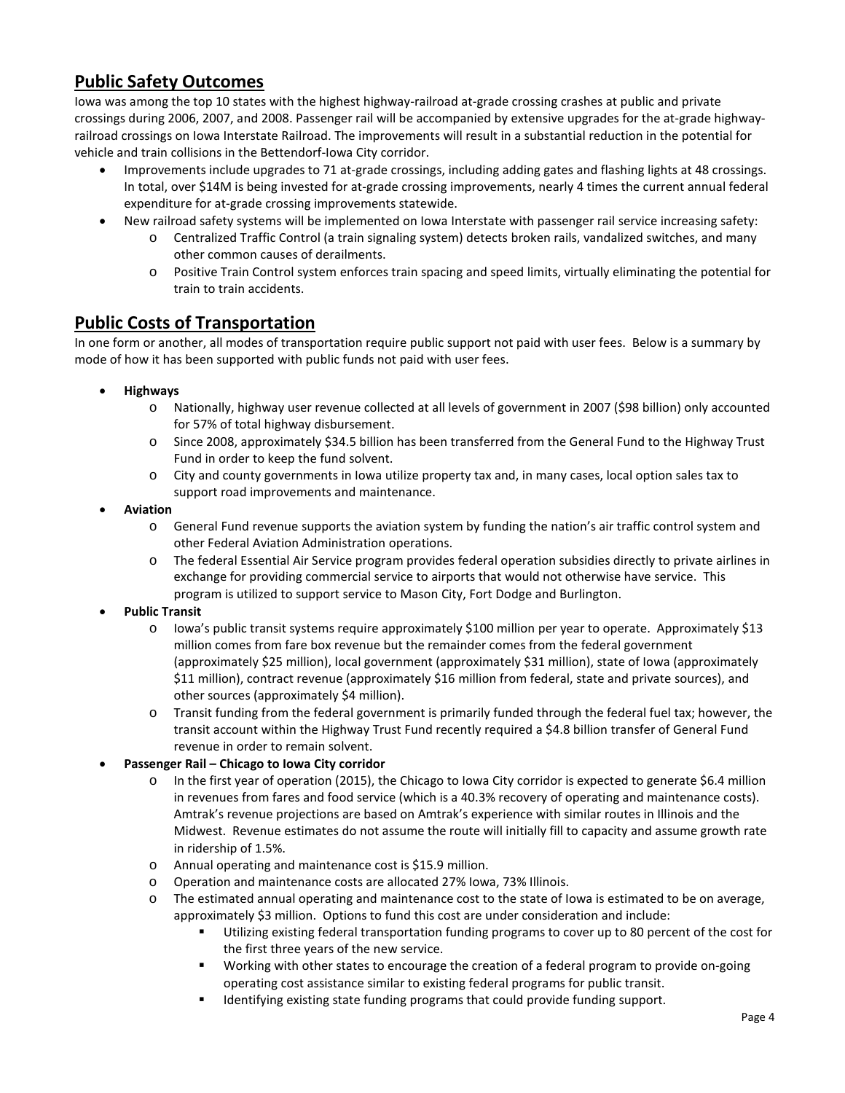# **Public Safety Outcomes**

Iowa was among the top 10 states with the highest highway-railroad at-grade crossing crashes at public and private crossings during 2006, 2007, and 2008. Passenger rail will be accompanied by extensive upgrades for the at-grade highwayrailroad crossings on Iowa Interstate Railroad. The improvements will result in a substantial reduction in the potential for vehicle and train collisions in the Bettendorf-Iowa City corridor.

- Improvements include upgrades to 71 at-grade crossings, including adding gates and flashing lights at 48 crossings. In total, over \$14M is being invested for at-grade crossing improvements, nearly 4 times the current annual federal expenditure for at-grade crossing improvements statewide.
- New railroad safety systems will be implemented on Iowa Interstate with passenger rail service increasing safety:
	- o Centralized Traffic Control (a train signaling system) detects broken rails, vandalized switches, and many other common causes of derailments.
	- o Positive Train Control system enforces train spacing and speed limits, virtually eliminating the potential for train to train accidents.

# **Public Costs of Transportation**

In one form or another, all modes of transportation require public support not paid with user fees. Below is a summary by mode of how it has been supported with public funds not paid with user fees.

- **Highways** 
	- o Nationally, highway user revenue collected at all levels of government in 2007 (\$98 billion) only accounted for 57% of total highway disbursement.
	- o Since 2008, approximately \$34.5 billion has been transferred from the General Fund to the Highway Trust Fund in order to keep the fund solvent.
	- o City and county governments in Iowa utilize property tax and, in many cases, local option sales tax to support road improvements and maintenance.
- **Aviation**
	- o General Fund revenue supports the aviation system by funding the nation's air traffic control system and other Federal Aviation Administration operations.
	- o The federal Essential Air Service program provides federal operation subsidies directly to private airlines in exchange for providing commercial service to airports that would not otherwise have service. This program is utilized to support service to Mason City, Fort Dodge and Burlington.
- **Public Transit**
	- o Iowa's public transit systems require approximately \$100 million per year to operate. Approximately \$13 million comes from fare box revenue but the remainder comes from the federal government (approximately \$25 million), local government (approximately \$31 million), state of Iowa (approximately \$11 million), contract revenue (approximately \$16 million from federal, state and private sources), and other sources (approximately \$4 million).
	- o Transit funding from the federal government is primarily funded through the federal fuel tax; however, the transit account within the Highway Trust Fund recently required a \$4.8 billion transfer of General Fund revenue in order to remain solvent.

## • **Passenger Rail – Chicago to Iowa City corridor**

- o In the first year of operation (2015), the Chicago to Iowa City corridor is expected to generate \$6.4 million in revenues from fares and food service (which is a 40.3% recovery of operating and maintenance costs). Amtrak's revenue projections are based on Amtrak's experience with similar routes in Illinois and the Midwest. Revenue estimates do not assume the route will initially fill to capacity and assume growth rate in ridership of 1.5%.
- o Annual operating and maintenance cost is \$15.9 million.
- o Operation and maintenance costs are allocated 27% Iowa, 73% Illinois.
- o The estimated annual operating and maintenance cost to the state of Iowa is estimated to be on average, approximately \$3 million. Options to fund this cost are under consideration and include:
	- Utilizing existing federal transportation funding programs to cover up to 80 percent of the cost for the first three years of the new service.
	- Working with other states to encourage the creation of a federal program to provide on-going operating cost assistance similar to existing federal programs for public transit.
	- Identifying existing state funding programs that could provide funding support.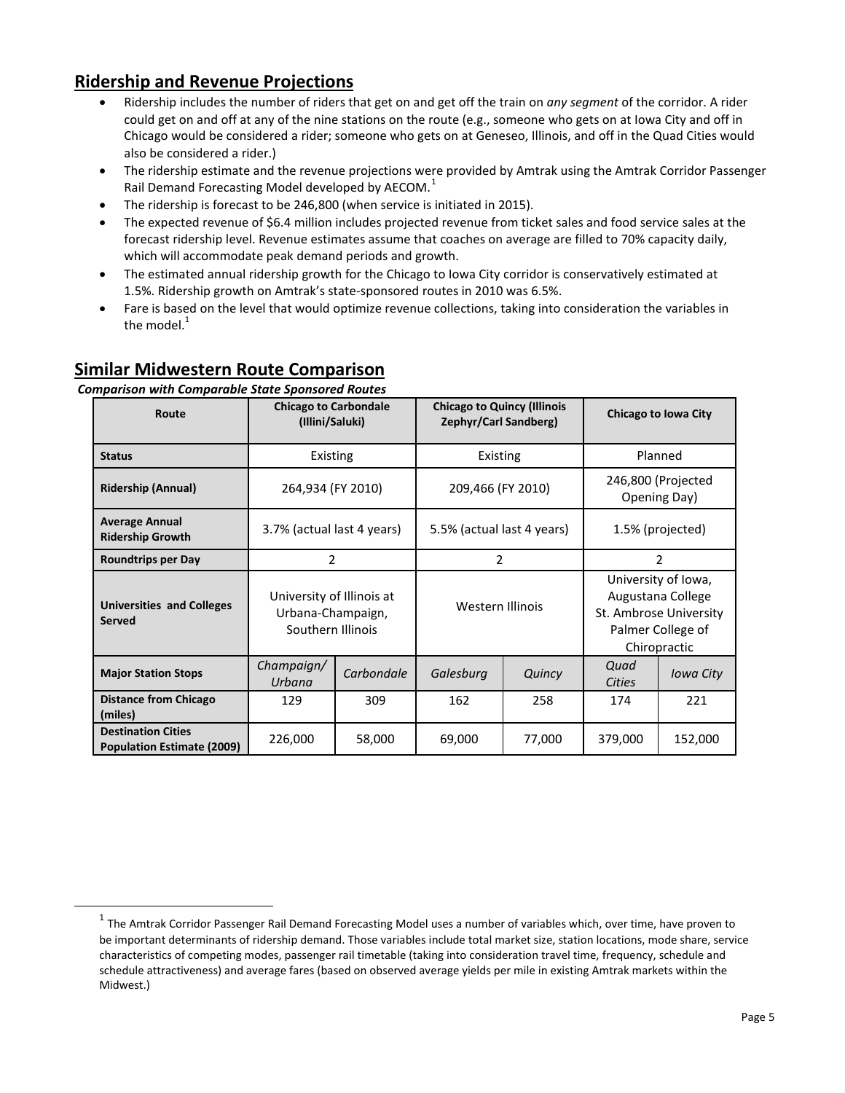# **Ridership and Revenue Projections**

- Ridership includes the number of riders that get on and get off the train on *any segment* of the corridor. A rider could get on and off at any of the nine stations on the route (e.g., someone who gets on at Iowa City and off in Chicago would be considered a rider; someone who gets on at Geneseo, Illinois, and off in the Quad Cities would also be considered a rider.)
- The ridership estimate and the revenue projections were provided by Amtrak using the Amtrak Corridor Passenger Rail Demand Forecasting Model developed by AECOM.<sup>[1](#page-4-0)</sup>
- The ridership is forecast to be 246,800 (when service is initiated in 2015).
- The expected revenue of \$6.4 million includes projected revenue from ticket sales and food service sales at the forecast ridership level. Revenue estimates assume that coaches on average are filled to 70% capacity daily, which will accommodate peak demand periods and growth.
- The estimated annual ridership growth for the Chicago to Iowa City corridor is conservatively estimated at 1.5%. Ridership growth on Amtrak's state-sponsored routes in 2010 was 6.5%.
- Fare is based on the level that would optimize revenue collections, taking into consideration the variables in the model. $1$

# **Similar Midwestern Route Comparison**

### *Comparison with Comparable State Sponsored Routes*

| Route                                                          | <b>Chicago to Carbondale</b><br>(Illini/Saluki)                     |            | <b>Chicago to Quincy (Illinois</b><br>Zephyr/Carl Sandberg) |        | Chicago to Iowa City                                                                                    |           |
|----------------------------------------------------------------|---------------------------------------------------------------------|------------|-------------------------------------------------------------|--------|---------------------------------------------------------------------------------------------------------|-----------|
| <b>Status</b>                                                  | Existing                                                            |            | Existing                                                    |        | Planned                                                                                                 |           |
| <b>Ridership (Annual)</b>                                      | 264,934 (FY 2010)                                                   |            | 209,466 (FY 2010)                                           |        | 246,800 (Projected<br>Opening Day)                                                                      |           |
| <b>Average Annual</b><br><b>Ridership Growth</b>               | 3.7% (actual last 4 years)                                          |            | 5.5% (actual last 4 years)                                  |        | 1.5% (projected)                                                                                        |           |
| <b>Roundtrips per Day</b>                                      | $\overline{2}$                                                      |            | 2                                                           |        | 2                                                                                                       |           |
| <b>Universities and Colleges</b><br><b>Served</b>              | University of Illinois at<br>Urbana-Champaign,<br>Southern Illinois |            | Western Illinois                                            |        | University of Iowa,<br>Augustana College<br>St. Ambrose University<br>Palmer College of<br>Chiropractic |           |
| <b>Major Station Stops</b>                                     | Champaign/<br>Urbana                                                | Carbondale | Galesburg                                                   | Quincy | Quad<br><b>Cities</b>                                                                                   | Iowa City |
| <b>Distance from Chicago</b><br>(miles)                        | 129                                                                 | 309        | 162                                                         | 258    | 174                                                                                                     | 221       |
| <b>Destination Cities</b><br><b>Population Estimate (2009)</b> | 226,000                                                             | 58,000     | 69,000                                                      | 77,000 | 379,000                                                                                                 | 152,000   |

<span id="page-4-0"></span> $1$  The Amtrak Corridor Passenger Rail Demand Forecasting Model uses a number of variables which, over time, have proven to be important determinants of ridership demand. Those variables include total market size, station locations, mode share, service characteristics of competing modes, passenger rail timetable (taking into consideration travel time, frequency, schedule and schedule attractiveness) and average fares (based on observed average yields per mile in existing Amtrak markets within the Midwest.)